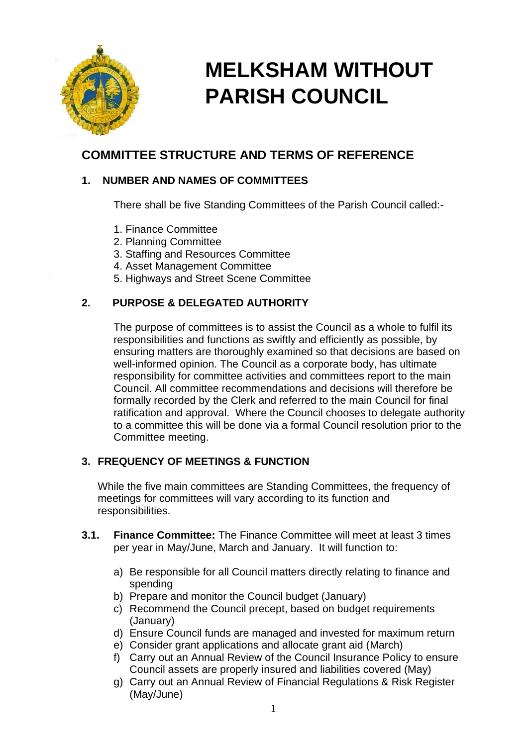

# **MELKSHAM WITHOUT PARISH COUNCIL**

## **COMMITTEE STRUCTURE AND TERMS OF REFERENCE**

## **1. NUMBER AND NAMES OF COMMITTEES**

There shall be five Standing Committees of the Parish Council called:-

- 1. Finance Committee
- 2. Planning Committee
- 3. Staffing and Resources Committee
- 4. Asset Management Committee
- 5. Highways and Street Scene Committee

## **2. PURPOSE & DELEGATED AUTHORITY**

The purpose of committees is to assist the Council as a whole to fulfil its responsibilities and functions as swiftly and efficiently as possible, by ensuring matters are thoroughly examined so that decisions are based on well-informed opinion. The Council as a corporate body, has ultimate responsibility for committee activities and committees report to the main Council. All committee recommendations and decisions will therefore be formally recorded by the Clerk and referred to the main Council for final ratification and approval. Where the Council chooses to delegate authority to a committee this will be done via a formal Council resolution prior to the Committee meeting.

## **3. FREQUENCY OF MEETINGS & FUNCTION**

While the five main committees are Standing Committees, the frequency of meetings for committees will vary according to its function and responsibilities.

- **3.1. Finance Committee:** The Finance Committee will meet at least 3 times per year in May/June, March and January. It will function to:
	- a) Be responsible for all Council matters directly relating to finance and spending
	- b) Prepare and monitor the Council budget (January)
	- c) Recommend the Council precept, based on budget requirements (January)
	- d) Ensure Council funds are managed and invested for maximum return
	- e) Consider grant applications and allocate grant aid (March)
	- f) Carry out an Annual Review of the Council Insurance Policy to ensure Council assets are properly insured and liabilities covered (May)
	- g) Carry out an Annual Review of Financial Regulations & Risk Register (May/June)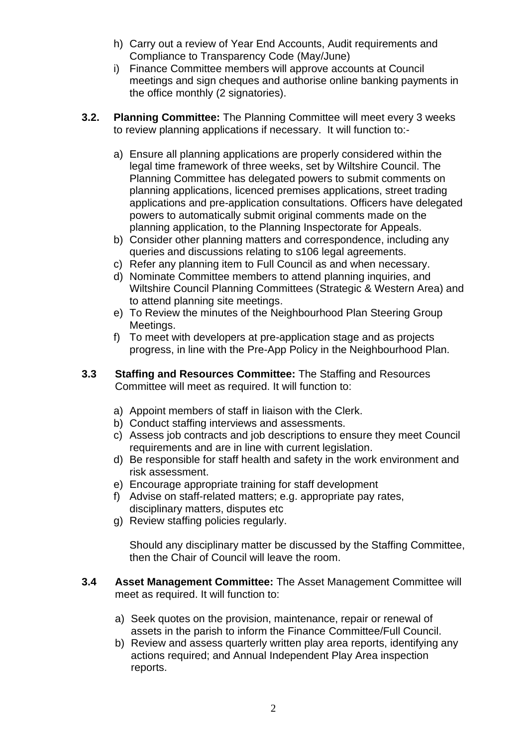- h) Carry out a review of Year End Accounts, Audit requirements and Compliance to Transparency Code (May/June)
- i) Finance Committee members will approve accounts at Council meetings and sign cheques and authorise online banking payments in the office monthly (2 signatories).
- **3.2. Planning Committee:** The Planning Committee will meet every 3 weeks to review planning applications if necessary. It will function to:
	- a) Ensure all planning applications are properly considered within the legal time framework of three weeks, set by Wiltshire Council. The Planning Committee has delegated powers to submit comments on planning applications, licenced premises applications, street trading applications and pre-application consultations. Officers have delegated powers to automatically submit original comments made on the planning application, to the Planning Inspectorate for Appeals.
	- b) Consider other planning matters and correspondence, including any queries and discussions relating to s106 legal agreements.
	- c) Refer any planning item to Full Council as and when necessary.
	- d) Nominate Committee members to attend planning inquiries, and Wiltshire Council Planning Committees (Strategic & Western Area) and to attend planning site meetings.
	- e) To Review the minutes of the Neighbourhood Plan Steering Group Meetings.
	- f) To meet with developers at pre-application stage and as projects progress, in line with the Pre-App Policy in the Neighbourhood Plan.
- **3.3 Staffing and Resources Committee:** The Staffing and Resources Committee will meet as required. It will function to:
	- a) Appoint members of staff in liaison with the Clerk.
	- b) Conduct staffing interviews and assessments.
	- c) Assess job contracts and job descriptions to ensure they meet Council requirements and are in line with current legislation.
	- d) Be responsible for staff health and safety in the work environment and risk assessment.
	- e) Encourage appropriate training for staff development
	- f) Advise on staff-related matters; e.g. appropriate pay rates, disciplinary matters, disputes etc
	- g) Review staffing policies regularly.

Should any disciplinary matter be discussed by the Staffing Committee, then the Chair of Council will leave the room.

- **3.4 Asset Management Committee:** The Asset Management Committee will meet as required. It will function to:
	- a) Seek quotes on the provision, maintenance, repair or renewal of assets in the parish to inform the Finance Committee/Full Council.
	- b) Review and assess quarterly written play area reports, identifying any actions required; and Annual Independent Play Area inspection reports.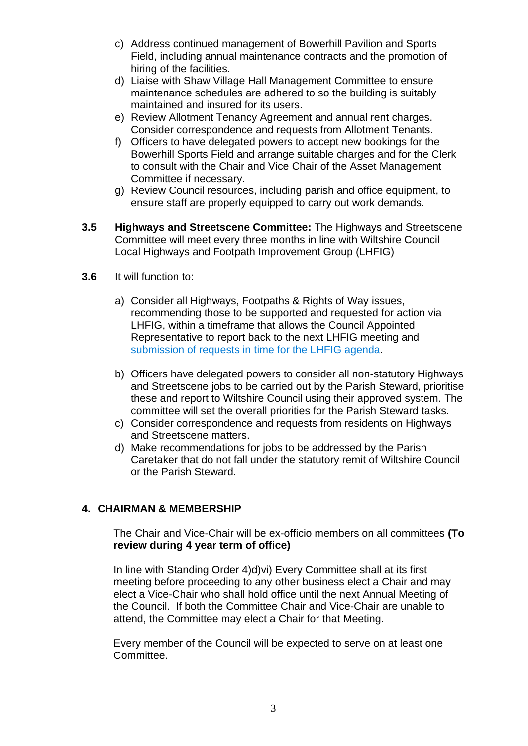- c) Address continued management of Bowerhill Pavilion and Sports Field, including annual maintenance contracts and the promotion of hiring of the facilities.
- d) Liaise with Shaw Village Hall Management Committee to ensure maintenance schedules are adhered to so the building is suitably maintained and insured for its users.
- e) Review Allotment Tenancy Agreement and annual rent charges. Consider correspondence and requests from Allotment Tenants.
- f) Officers to have delegated powers to accept new bookings for the Bowerhill Sports Field and arrange suitable charges and for the Clerk to consult with the Chair and Vice Chair of the Asset Management Committee if necessary.
- g) Review Council resources, including parish and office equipment, to ensure staff are properly equipped to carry out work demands.
- **3.5 Highways and Streetscene Committee:** The Highways and Streetscene Committee will meet every three months in line with Wiltshire Council Local Highways and Footpath Improvement Group (LHFIG)
- **3.6** It will function to:
	- a) Consider all Highways, Footpaths & Rights of Way issues, recommending those to be supported and requested for action via LHFIG, within a timeframe that allows the Council Appointed Representative to report back to the next LHFIG meeting and submission of requests in time for the LHFIG agenda.
	- b) Officers have delegated powers to consider all non-statutory Highways and Streetscene jobs to be carried out by the Parish Steward, prioritise these and report to Wiltshire Council using their approved system. The committee will set the overall priorities for the Parish Steward tasks.
	- c) Consider correspondence and requests from residents on Highways and Streetscene matters.
	- d) Make recommendations for jobs to be addressed by the Parish Caretaker that do not fall under the statutory remit of Wiltshire Council or the Parish Steward.

#### **4. CHAIRMAN & MEMBERSHIP**

The Chair and Vice-Chair will be ex-officio members on all committees **(To review during 4 year term of office)**

In line with Standing Order 4)d)vi) Every Committee shall at its first meeting before proceeding to any other business elect a Chair and may elect a Vice-Chair who shall hold office until the next Annual Meeting of the Council. If both the Committee Chair and Vice-Chair are unable to attend, the Committee may elect a Chair for that Meeting.

Every member of the Council will be expected to serve on at least one Committee.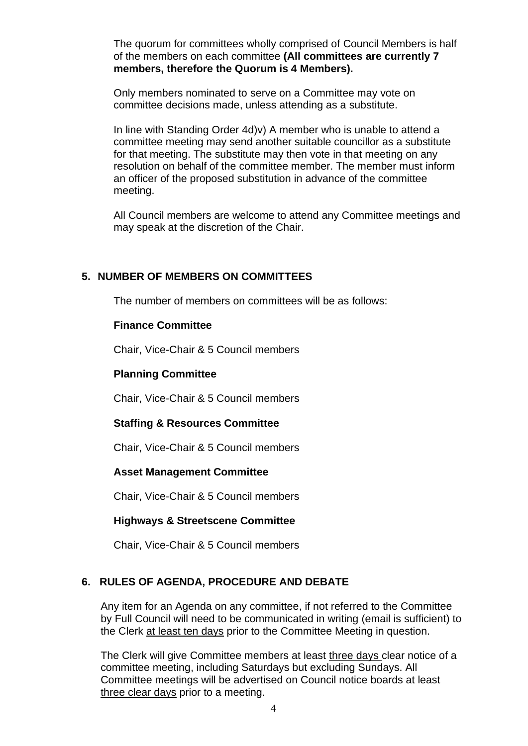The quorum for committees wholly comprised of Council Members is half of the members on each committee **(All committees are currently 7 members, therefore the Quorum is 4 Members).**

Only members nominated to serve on a Committee may vote on committee decisions made, unless attending as a substitute.

In line with Standing Order 4d)v) A member who is unable to attend a committee meeting may send another suitable councillor as a substitute for that meeting. The substitute may then vote in that meeting on any resolution on behalf of the committee member. The member must inform an officer of the proposed substitution in advance of the committee meeting.

All Council members are welcome to attend any Committee meetings and may speak at the discretion of the Chair.

#### **5. NUMBER OF MEMBERS ON COMMITTEES**

The number of members on committees will be as follows:

#### **Finance Committee**

Chair, Vice-Chair & 5 Council members

#### **Planning Committee**

Chair, Vice-Chair & 5 Council members

#### **Staffing & Resources Committee**

Chair, Vice-Chair & 5 Council members

#### **Asset Management Committee**

Chair, Vice-Chair & 5 Council members

#### **Highways & Streetscene Committee**

Chair, Vice-Chair & 5 Council members

#### **6. RULES OF AGENDA, PROCEDURE AND DEBATE**

Any item for an Agenda on any committee, if not referred to the Committee by Full Council will need to be communicated in writing (email is sufficient) to the Clerk at least ten days prior to the Committee Meeting in question.

The Clerk will give Committee members at least three days clear notice of a committee meeting, including Saturdays but excluding Sundays. All Committee meetings will be advertised on Council notice boards at least three clear days prior to a meeting.